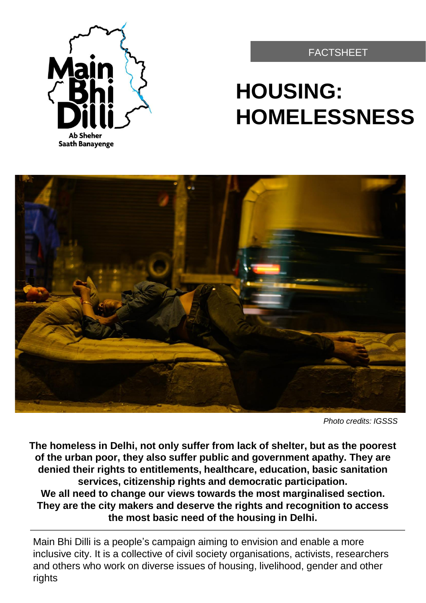

FACTSHEET

# **HOUSING: HOMELESSNESS**



*Photo credits: IGSSS*

**The homeless in Delhi, not only suffer from lack of shelter, but as the poorest of the urban poor, they also suffer public and government apathy. They are denied their rights to entitlements, healthcare, education, basic sanitation services, citizenship rights and democratic participation. We all need to change our views towards the most marginalised section. They are the city makers and deserve the rights and recognition to access the most basic need of the housing in Delhi.**

Main Bhi Dilli is a people's campaign aiming to envision and enable a more inclusive city. It is a collective of civil society organisations, activists, researchers and others who work on diverse issues of housing, livelihood, gender and other rights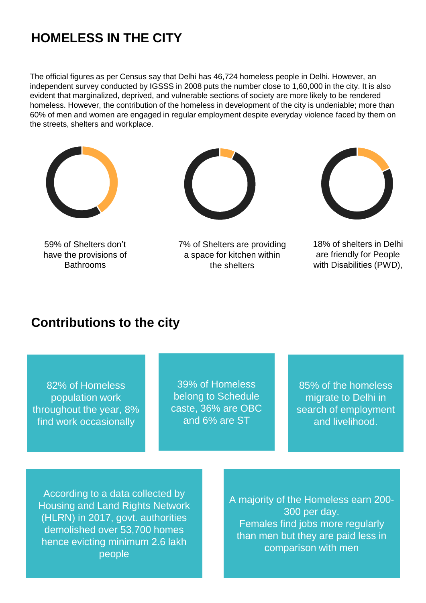## **HOMELESS IN THE CITY**

The official figures as per Census say that Delhi has 46,724 homeless people in Delhi. However, an independent survey conducted by IGSSS in 2008 puts the number close to 1,60,000 in the city. It is also evident that marginalized, deprived, and vulnerable sections of society are more likely to be rendered homeless. However, the contribution of the homeless in development of the city is undeniable; more than 60% of men and women are engaged in regular employment despite everyday violence faced by them on the streets, shelters and workplace.



59% of Shelters don't have the provisions of **Bathrooms** 



7% of Shelters are providing a space for kitchen within the shelters



18% of shelters in Delhi are friendly for People with Disabilities (PWD),

### **Contributions to the city**

82% of Homeless population work throughout the year, 8% find work occasionally

39% of Homeless belong to Schedule caste, 36% are OBC and 6% are ST

85% of the homeless migrate to Delhi in search of employment and livelihood.

According to a data collected by Housing and Land Rights Network (HLRN) in 2017, govt. authorities demolished over 53,700 homes hence evicting minimum 2.6 lakh people

A majority of the Homeless earn 200- 300 per day. Females find jobs more regularly than men but they are paid less in comparison with men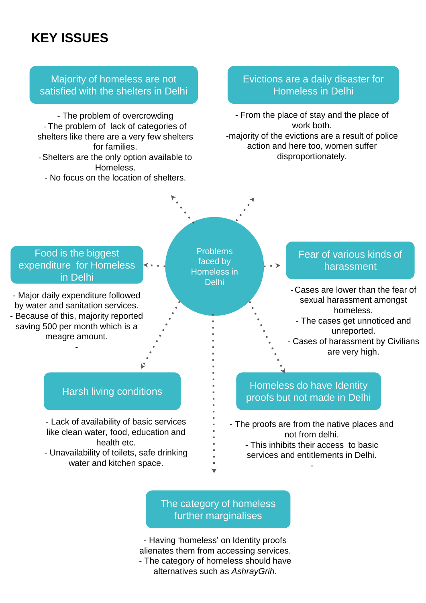## **KEY ISSUES**



#### The category of homeless further marginalises

- Having 'homeless' on Identity proofs alienates them from accessing services. - The category of homeless should have alternatives such as *AshrayGrih*.